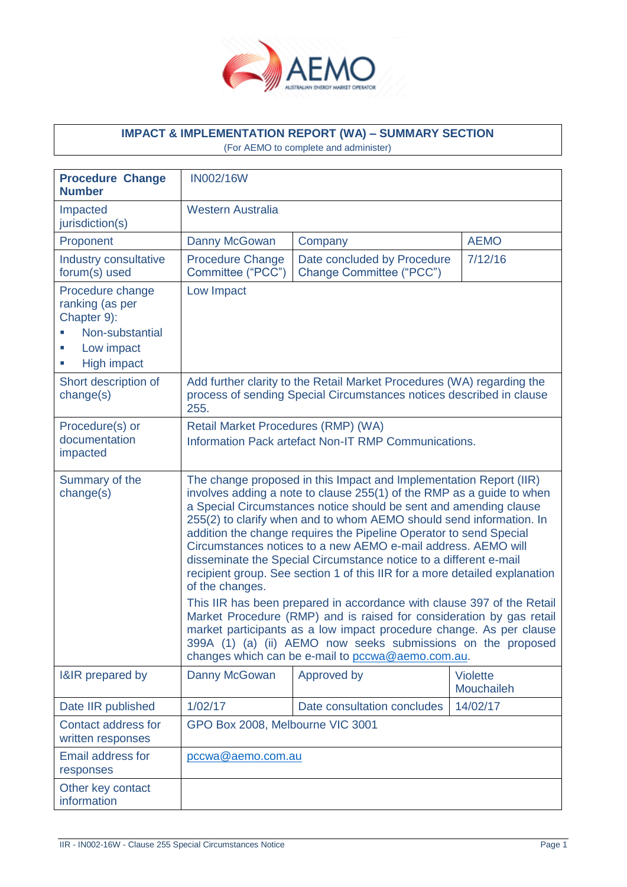

# **IMPACT & IMPLEMENTATION REPORT (WA) – SUMMARY SECTION**

(For AEMO to complete and administer)

| <b>Procedure Change</b><br><b>Number</b>                                                                              | <b>IN002/16W</b>                                                                                                                                                                                                                                                                                                                                                                                                                                                                                                                                                                                                                                                                                                                                                                                                              |                                                                    |                               |
|-----------------------------------------------------------------------------------------------------------------------|-------------------------------------------------------------------------------------------------------------------------------------------------------------------------------------------------------------------------------------------------------------------------------------------------------------------------------------------------------------------------------------------------------------------------------------------------------------------------------------------------------------------------------------------------------------------------------------------------------------------------------------------------------------------------------------------------------------------------------------------------------------------------------------------------------------------------------|--------------------------------------------------------------------|-------------------------------|
| Impacted<br>jurisdiction(s)                                                                                           | <b>Western Australia</b>                                                                                                                                                                                                                                                                                                                                                                                                                                                                                                                                                                                                                                                                                                                                                                                                      |                                                                    |                               |
| Proponent                                                                                                             | Danny McGowan                                                                                                                                                                                                                                                                                                                                                                                                                                                                                                                                                                                                                                                                                                                                                                                                                 | Company                                                            | <b>AEMO</b>                   |
| Industry consultative<br>forum(s) used                                                                                | <b>Procedure Change</b><br>Committee ("PCC")                                                                                                                                                                                                                                                                                                                                                                                                                                                                                                                                                                                                                                                                                                                                                                                  | 7/12/16<br>Date concluded by Procedure<br>Change Committee ("PCC") |                               |
| Procedure change<br>ranking (as per<br>Chapter 9):<br>Non-substantial<br>Low impact<br>×.<br><b>High impact</b><br>T, | Low Impact                                                                                                                                                                                                                                                                                                                                                                                                                                                                                                                                                                                                                                                                                                                                                                                                                    |                                                                    |                               |
| Short description of<br>change(s)                                                                                     | Add further clarity to the Retail Market Procedures (WA) regarding the<br>process of sending Special Circumstances notices described in clause<br>255.                                                                                                                                                                                                                                                                                                                                                                                                                                                                                                                                                                                                                                                                        |                                                                    |                               |
| Procedure(s) or<br>documentation<br>impacted                                                                          | Retail Market Procedures (RMP) (WA)<br>Information Pack artefact Non-IT RMP Communications.                                                                                                                                                                                                                                                                                                                                                                                                                                                                                                                                                                                                                                                                                                                                   |                                                                    |                               |
| Summary of the<br>change(s)                                                                                           | The change proposed in this Impact and Implementation Report (IIR)<br>involves adding a note to clause 255(1) of the RMP as a guide to when<br>a Special Circumstances notice should be sent and amending clause<br>255(2) to clarify when and to whom AEMO should send information. In<br>addition the change requires the Pipeline Operator to send Special<br>Circumstances notices to a new AEMO e-mail address. AEMO will<br>disseminate the Special Circumstance notice to a different e-mail<br>recipient group. See section 1 of this IIR for a more detailed explanation<br>of the changes.<br>This IIR has been prepared in accordance with clause 397 of the Retail<br>Market Procedure (RMP) and is raised for consideration by gas retail<br>market participants as a low impact procedure change. As per clause |                                                                    |                               |
|                                                                                                                       | 399A (1) (a) (ii) AEMO now seeks submissions on the proposed<br>changes which can be e-mail to pccwa@aemo.com.au.                                                                                                                                                                                                                                                                                                                                                                                                                                                                                                                                                                                                                                                                                                             |                                                                    |                               |
| I&IR prepared by                                                                                                      | Danny McGowan                                                                                                                                                                                                                                                                                                                                                                                                                                                                                                                                                                                                                                                                                                                                                                                                                 | Approved by                                                        | <b>Violette</b><br>Mouchaileh |
| Date IIR published                                                                                                    | 1/02/17                                                                                                                                                                                                                                                                                                                                                                                                                                                                                                                                                                                                                                                                                                                                                                                                                       | Date consultation concludes                                        | 14/02/17                      |
| Contact address for<br>written responses                                                                              | GPO Box 2008, Melbourne VIC 3001                                                                                                                                                                                                                                                                                                                                                                                                                                                                                                                                                                                                                                                                                                                                                                                              |                                                                    |                               |
| <b>Email address for</b><br>responses                                                                                 | pccwa@aemo.com.au                                                                                                                                                                                                                                                                                                                                                                                                                                                                                                                                                                                                                                                                                                                                                                                                             |                                                                    |                               |
| Other key contact<br>information                                                                                      |                                                                                                                                                                                                                                                                                                                                                                                                                                                                                                                                                                                                                                                                                                                                                                                                                               |                                                                    |                               |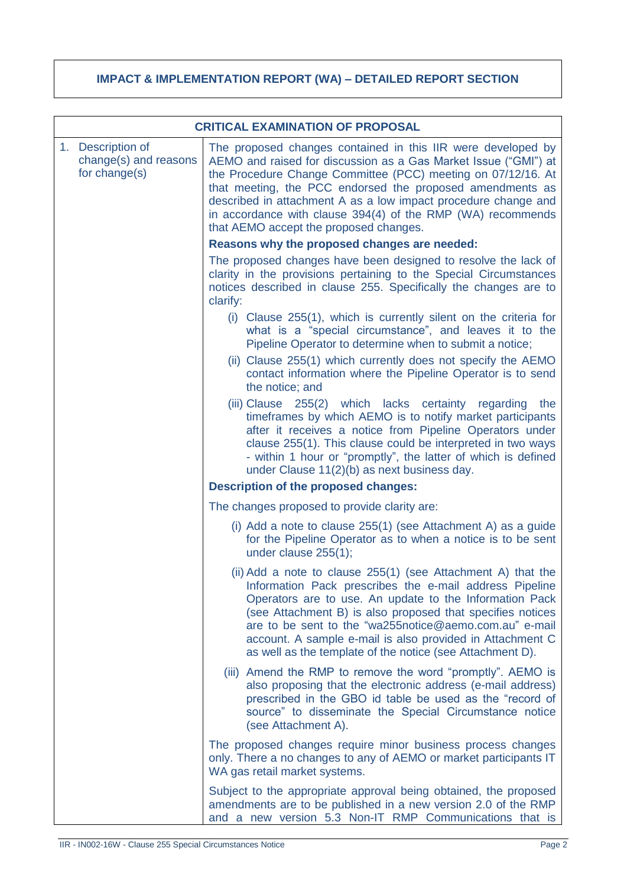# **IMPACT & IMPLEMENTATION REPORT (WA) – DETAILED REPORT SECTION**

| <b>CRITICAL EXAMINATION OF PROPOSAL</b>                     |                                                                                                                                                                                                                                                                                                                                                                                                                                         |  |
|-------------------------------------------------------------|-----------------------------------------------------------------------------------------------------------------------------------------------------------------------------------------------------------------------------------------------------------------------------------------------------------------------------------------------------------------------------------------------------------------------------------------|--|
| 1. Description of<br>change(s) and reasons<br>for change(s) | The proposed changes contained in this IIR were developed by<br>AEMO and raised for discussion as a Gas Market Issue ("GMI") at<br>the Procedure Change Committee (PCC) meeting on 07/12/16. At<br>that meeting, the PCC endorsed the proposed amendments as<br>described in attachment A as a low impact procedure change and<br>in accordance with clause 394(4) of the RMP (WA) recommends<br>that AEMO accept the proposed changes. |  |
|                                                             | Reasons why the proposed changes are needed:                                                                                                                                                                                                                                                                                                                                                                                            |  |
|                                                             | The proposed changes have been designed to resolve the lack of<br>clarity in the provisions pertaining to the Special Circumstances<br>notices described in clause 255. Specifically the changes are to<br>clarify:                                                                                                                                                                                                                     |  |
|                                                             | (i) Clause 255(1), which is currently silent on the criteria for<br>what is a "special circumstance", and leaves it to the<br>Pipeline Operator to determine when to submit a notice;                                                                                                                                                                                                                                                   |  |
|                                                             | (ii) Clause 255(1) which currently does not specify the AEMO<br>contact information where the Pipeline Operator is to send<br>the notice; and                                                                                                                                                                                                                                                                                           |  |
|                                                             | (iii) Clause 255(2) which lacks certainty regarding<br>the<br>timeframes by which AEMO is to notify market participants<br>after it receives a notice from Pipeline Operators under<br>clause 255(1). This clause could be interpreted in two ways<br>- within 1 hour or "promptly", the latter of which is defined<br>under Clause 11(2)(b) as next business day.                                                                      |  |
|                                                             | <b>Description of the proposed changes:</b>                                                                                                                                                                                                                                                                                                                                                                                             |  |
|                                                             | The changes proposed to provide clarity are:                                                                                                                                                                                                                                                                                                                                                                                            |  |
|                                                             | (i) Add a note to clause 255(1) (see Attachment A) as a guide<br>for the Pipeline Operator as to when a notice is to be sent<br>under clause 255(1);                                                                                                                                                                                                                                                                                    |  |
|                                                             | (ii) Add a note to clause 255(1) (see Attachment A) that the<br>Information Pack prescribes the e-mail address Pipeline<br>Operators are to use. An update to the Information Pack<br>(see Attachment B) is also proposed that specifies notices<br>are to be sent to the "wa255notice@aemo.com.au" e-mail<br>account. A sample e-mail is also provided in Attachment C<br>as well as the template of the notice (see Attachment D).    |  |
|                                                             | (iii) Amend the RMP to remove the word "promptly". AEMO is<br>also proposing that the electronic address (e-mail address)<br>prescribed in the GBO id table be used as the "record of<br>source" to disseminate the Special Circumstance notice<br>(see Attachment A).                                                                                                                                                                  |  |
|                                                             | The proposed changes require minor business process changes<br>only. There a no changes to any of AEMO or market participants IT<br>WA gas retail market systems.                                                                                                                                                                                                                                                                       |  |
|                                                             | Subject to the appropriate approval being obtained, the proposed<br>amendments are to be published in a new version 2.0 of the RMP<br>and a new version 5.3 Non-IT RMP Communications that is                                                                                                                                                                                                                                           |  |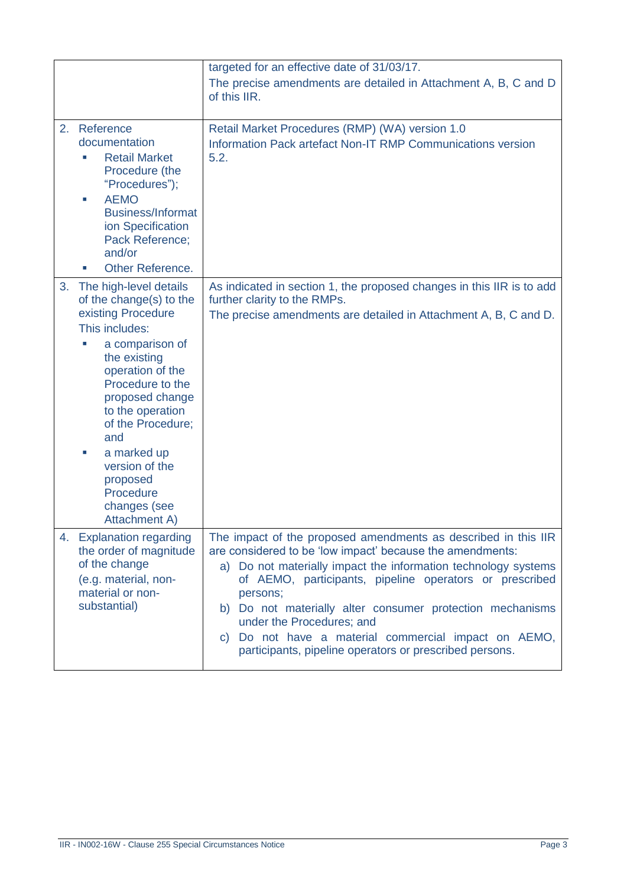|    | targeted for an effective date of 31/03/17.                                                                                                                                                                                                                                                                                                     |                                                                                                                                                                                                                                                                                                                                                                                                                                                                                      |  |
|----|-------------------------------------------------------------------------------------------------------------------------------------------------------------------------------------------------------------------------------------------------------------------------------------------------------------------------------------------------|--------------------------------------------------------------------------------------------------------------------------------------------------------------------------------------------------------------------------------------------------------------------------------------------------------------------------------------------------------------------------------------------------------------------------------------------------------------------------------------|--|
|    |                                                                                                                                                                                                                                                                                                                                                 | The precise amendments are detailed in Attachment A, B, C and D<br>of this IIR.                                                                                                                                                                                                                                                                                                                                                                                                      |  |
| 2. | Reference<br>documentation<br><b>Retail Market</b><br>Procedure (the<br>"Procedures");<br><b>AEMO</b><br>×.<br><b>Business/Informat</b><br>ion Specification<br>Pack Reference;<br>and/or<br>Other Reference.                                                                                                                                   | Retail Market Procedures (RMP) (WA) version 1.0<br>Information Pack artefact Non-IT RMP Communications version<br>5.2.                                                                                                                                                                                                                                                                                                                                                               |  |
| 3. | The high-level details<br>of the change(s) to the<br>existing Procedure<br>This includes:<br>a comparison of<br>the existing<br>operation of the<br>Procedure to the<br>proposed change<br>to the operation<br>of the Procedure;<br>and<br>a marked up<br>×.<br>version of the<br>proposed<br>Procedure<br>changes (see<br><b>Attachment A)</b> | As indicated in section 1, the proposed changes in this IIR is to add<br>further clarity to the RMPs.<br>The precise amendments are detailed in Attachment A, B, C and D.                                                                                                                                                                                                                                                                                                            |  |
|    | 4. Explanation regarding<br>the order of magnitude<br>of the change<br>(e.g. material, non-<br>material or non-<br>substantial)                                                                                                                                                                                                                 | The impact of the proposed amendments as described in this IIR<br>are considered to be 'low impact' because the amendments:<br>a) Do not materially impact the information technology systems<br>of AEMO, participants, pipeline operators or prescribed<br>persons;<br>b) Do not materially alter consumer protection mechanisms<br>under the Procedures; and<br>Do not have a material commercial impact on AEMO,<br>C)<br>participants, pipeline operators or prescribed persons. |  |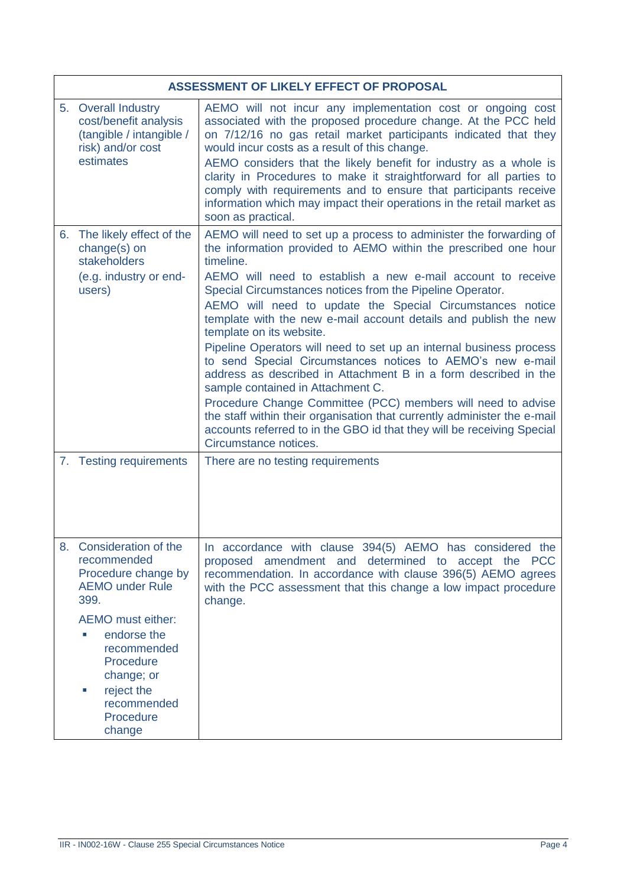| ASSESSMENT OF LIKELY EFFECT OF PROPOSAL                                                                                                                                                                                                                                |                                                                                                                                                                                                                                                                                                                                                                                                                                                                                                                                                                                                                                                                                                                                                                                                                                                                                                                                         |  |
|------------------------------------------------------------------------------------------------------------------------------------------------------------------------------------------------------------------------------------------------------------------------|-----------------------------------------------------------------------------------------------------------------------------------------------------------------------------------------------------------------------------------------------------------------------------------------------------------------------------------------------------------------------------------------------------------------------------------------------------------------------------------------------------------------------------------------------------------------------------------------------------------------------------------------------------------------------------------------------------------------------------------------------------------------------------------------------------------------------------------------------------------------------------------------------------------------------------------------|--|
| 5. Overall Industry<br>cost/benefit analysis<br>(tangible / intangible /<br>risk) and/or cost<br>estimates                                                                                                                                                             | AEMO will not incur any implementation cost or ongoing cost<br>associated with the proposed procedure change. At the PCC held<br>on 7/12/16 no gas retail market participants indicated that they<br>would incur costs as a result of this change.<br>AEMO considers that the likely benefit for industry as a whole is<br>clarity in Procedures to make it straightforward for all parties to<br>comply with requirements and to ensure that participants receive<br>information which may impact their operations in the retail market as<br>soon as practical.                                                                                                                                                                                                                                                                                                                                                                       |  |
| 6. The likely effect of the<br>change(s) on<br>stakeholders<br>(e.g. industry or end-<br>users)                                                                                                                                                                        | AEMO will need to set up a process to administer the forwarding of<br>the information provided to AEMO within the prescribed one hour<br>timeline.<br>AEMO will need to establish a new e-mail account to receive<br>Special Circumstances notices from the Pipeline Operator.<br>AEMO will need to update the Special Circumstances notice<br>template with the new e-mail account details and publish the new<br>template on its website.<br>Pipeline Operators will need to set up an internal business process<br>to send Special Circumstances notices to AEMO's new e-mail<br>address as described in Attachment B in a form described in the<br>sample contained in Attachment C.<br>Procedure Change Committee (PCC) members will need to advise<br>the staff within their organisation that currently administer the e-mail<br>accounts referred to in the GBO id that they will be receiving Special<br>Circumstance notices. |  |
| 7. Testing requirements                                                                                                                                                                                                                                                | There are no testing requirements                                                                                                                                                                                                                                                                                                                                                                                                                                                                                                                                                                                                                                                                                                                                                                                                                                                                                                       |  |
| 8. Consideration of the<br>recommended<br>Procedure change by<br><b>AEMO under Rule</b><br>399.<br>AEMO must either:<br>endorse the<br>$\mathcal{L}_{\mathcal{A}}$<br>recommended<br>Procedure<br>change; or<br>reject the<br>×.<br>recommended<br>Procedure<br>change | In accordance with clause 394(5) AEMO has considered the<br>proposed amendment and determined to accept the PCC<br>recommendation. In accordance with clause 396(5) AEMO agrees<br>with the PCC assessment that this change a low impact procedure<br>change.                                                                                                                                                                                                                                                                                                                                                                                                                                                                                                                                                                                                                                                                           |  |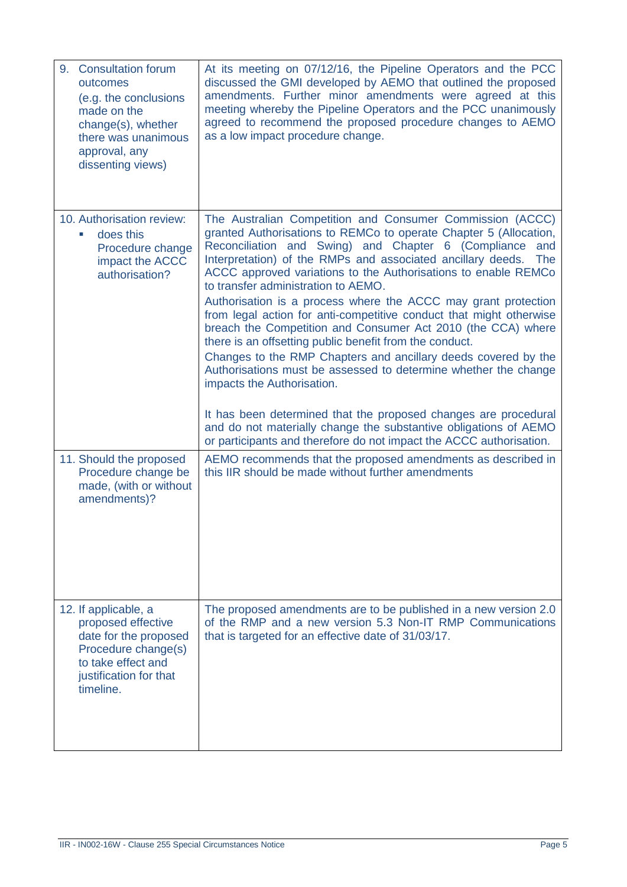| 9. Consultation forum<br>outcomes<br>(e.g. the conclusions<br>made on the<br>change(s), whether<br>there was unanimous<br>approval, any<br>dissenting views) | At its meeting on 07/12/16, the Pipeline Operators and the PCC<br>discussed the GMI developed by AEMO that outlined the proposed<br>amendments. Further minor amendments were agreed at this<br>meeting whereby the Pipeline Operators and the PCC unanimously<br>agreed to recommend the proposed procedure changes to AEMO<br>as a low impact procedure change.                                                                                                                                                                                                                                                                                                                                                                                                                                                                                                                                                                                                                                                             |
|--------------------------------------------------------------------------------------------------------------------------------------------------------------|-------------------------------------------------------------------------------------------------------------------------------------------------------------------------------------------------------------------------------------------------------------------------------------------------------------------------------------------------------------------------------------------------------------------------------------------------------------------------------------------------------------------------------------------------------------------------------------------------------------------------------------------------------------------------------------------------------------------------------------------------------------------------------------------------------------------------------------------------------------------------------------------------------------------------------------------------------------------------------------------------------------------------------|
| 10. Authorisation review:<br>does this<br>×.<br>Procedure change<br>impact the ACCC<br>authorisation?                                                        | The Australian Competition and Consumer Commission (ACCC)<br>granted Authorisations to REMCo to operate Chapter 5 (Allocation,<br>Reconciliation and Swing) and Chapter 6 (Compliance<br>and<br>Interpretation) of the RMPs and associated ancillary deeds. The<br>ACCC approved variations to the Authorisations to enable REMCo<br>to transfer administration to AEMO.<br>Authorisation is a process where the ACCC may grant protection<br>from legal action for anti-competitive conduct that might otherwise<br>breach the Competition and Consumer Act 2010 (the CCA) where<br>there is an offsetting public benefit from the conduct.<br>Changes to the RMP Chapters and ancillary deeds covered by the<br>Authorisations must be assessed to determine whether the change<br>impacts the Authorisation.<br>It has been determined that the proposed changes are procedural<br>and do not materially change the substantive obligations of AEMO<br>or participants and therefore do not impact the ACCC authorisation. |
| 11. Should the proposed<br>Procedure change be<br>made, (with or without<br>amendments)?                                                                     | AEMO recommends that the proposed amendments as described in<br>this IIR should be made without further amendments                                                                                                                                                                                                                                                                                                                                                                                                                                                                                                                                                                                                                                                                                                                                                                                                                                                                                                            |
| 12. If applicable, a<br>proposed effective<br>date for the proposed<br>Procedure change(s)<br>to take effect and<br>justification for that<br>timeline.      | The proposed amendments are to be published in a new version 2.0<br>of the RMP and a new version 5.3 Non-IT RMP Communications<br>that is targeted for an effective date of 31/03/17.                                                                                                                                                                                                                                                                                                                                                                                                                                                                                                                                                                                                                                                                                                                                                                                                                                         |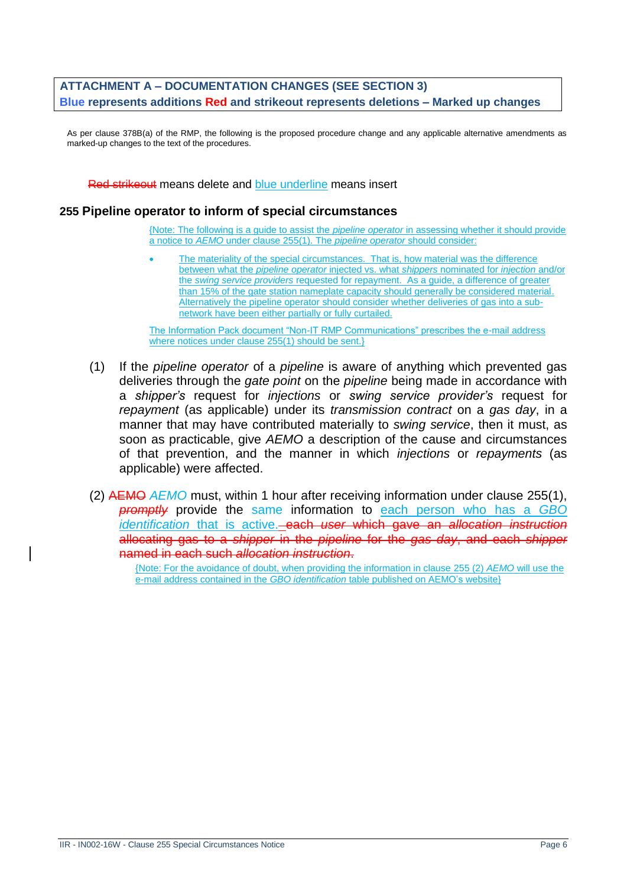#### **ATTACHMENT A – DOCUMENTATION CHANGES (SEE SECTION 3) Blue represents additions Red and strikeout represents deletions – Marked up changes**

As per clause 378B(a) of the RMP, the following is the proposed procedure change and any applicable alternative amendments as marked-up changes to the text of the procedures.

Red strikeout means delete and blue underline means insert

#### **255 Pipeline operator to inform of special circumstances**

{Note: The following is a guide to assist the *pipeline operator* in assessing whether it should provide a notice to *AEMO* under clause 255(1). The *pipeline operator* should consider:

The materiality of the special circumstances. That is, how material was the difference between what the *pipeline operator* injected vs. what *shippers* nominated for *injection* and/or the *swing service providers* requested for repayment. As a guide, a difference of greater than 15% of the gate station nameplate capacity should generally be considered material. Alternatively the pipeline operator should consider whether deliveries of gas into a subnetwork have been either partially or fully curtailed.

The Information Pack document "Non-IT RMP Communications" prescribes the e-mail address where notices under clause 255(1) should be sent.}

- (1) If the *pipeline operator* of a *pipeline* is aware of anything which prevented gas deliveries through the *gate point* on the *pipeline* being made in accordance with a *shipper's* request for *injections* or *swing service provider's* request for *repayment* (as applicable) under its *transmission contract* on a *gas day*, in a manner that may have contributed materially to *swing service*, then it must, as soon as practicable, give *AEMO* a description of the cause and circumstances of that prevention, and the manner in which *injections* or *repayments* (as applicable) were affected.
- (2) AEMO *AEMO* must, within 1 hour after receiving information under clause 255(1), *promptly* provide the same information to each person who has a *GBO identification* that is active. each *user* which gave an *allocation instruction*  allocating gas to a *shipper* in the *pipeline* for the *gas day*, and each *shipper*  named in each such *allocation instruction*.

{Note: For the avoidance of doubt, when providing the information in clause 255 (2) *AEMO* will use the e-mail address contained in the *GBO identification* table published on AEMO's website}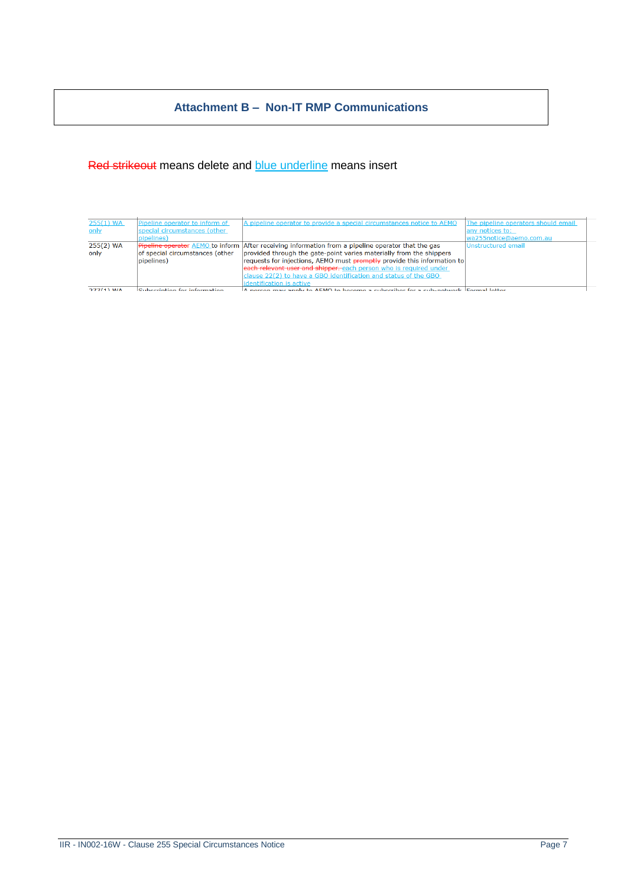### **Attachment B – Non-IT RMP Communications**

### Red strikeout means delete and **blue underline** means insert

| $255(1)$ WA  | Pipeline operator to inform of  | A pipeline operator to provide a special circumstances notice to AEMO                                      | The pipeline operators should email |
|--------------|---------------------------------|------------------------------------------------------------------------------------------------------------|-------------------------------------|
|              |                                 |                                                                                                            |                                     |
| only         | special circumstances (other    |                                                                                                            | lany notices to:                    |
|              | pipelines)                      |                                                                                                            | wa255notice@aemo.com.au             |
| $255(2)$ WA  |                                 | <b>Pripeline operator</b> AEMO to inform After receiving information from a pipeline operator that the gas | Unstructured email                  |
| only         | of special circumstances (other | provided through the gate-point varies materially from the shippers                                        |                                     |
|              | pipelines)                      | requests for injections, AEMO must promptly provide this information to                                    |                                     |
|              |                                 | each relevant user and shipper, each person who is required under                                          |                                     |
|              |                                 | clause 22(2) to have a GBO identification and status of the GBO                                            |                                     |
|              |                                 | identification is active                                                                                   |                                     |
| $277(1)$ M/A | Subecription for information    | A person may apply to AEMO to become a subscriber for a sub-petwork Eermal letter                          |                                     |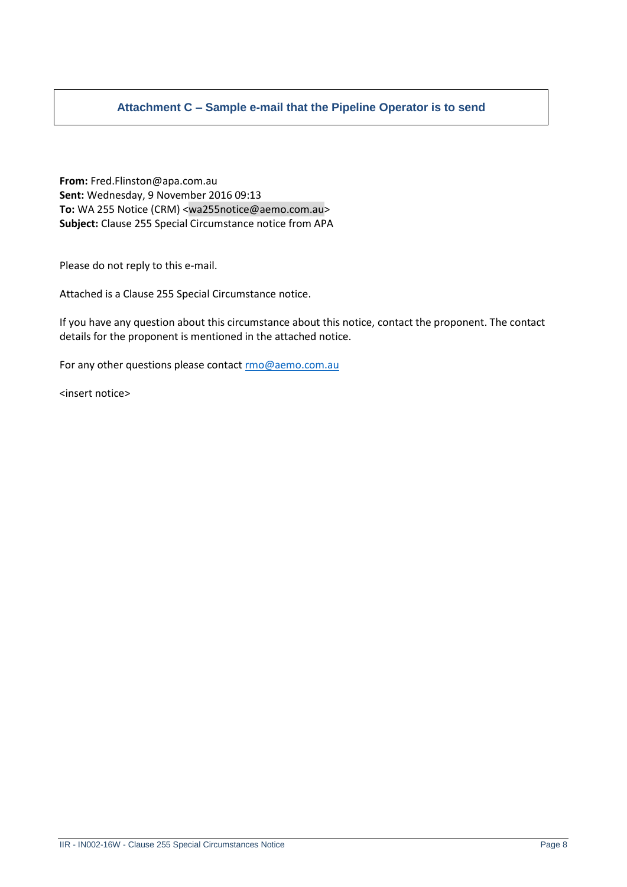### **Attachment C – Sample e-mail that the Pipeline Operator is to send**

**From:** Fred.Flinston@apa.com.au **Sent:** Wednesday, 9 November 2016 09:13 **To:** WA 255 Notice (CRM) <wa255notice@aemo.com.au> **Subject:** Clause 255 Special Circumstance notice from APA

Please do not reply to this e-mail.

Attached is a Clause 255 Special Circumstance notice.

If you have any question about this circumstance about this notice, contact the proponent. The contact details for the proponent is mentioned in the attached notice.

For any other questions please contac[t rmo@aemo.com.au](mailto:rmo@aemo.com.au)

<insert notice>